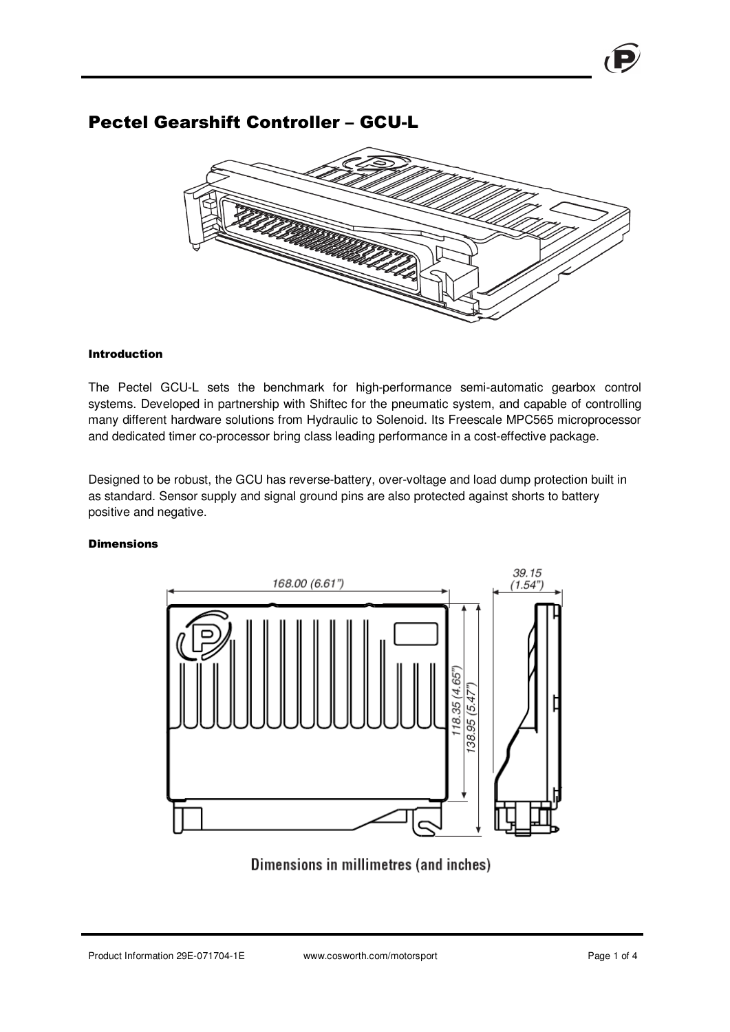# Pectel Gearshift Controller – GCU-L



### Introduction

The Pectel GCU-L sets the benchmark for high-performance semi-automatic gearbox control systems. Developed in partnership with Shiftec for the pneumatic system, and capable of controlling many different hardware solutions from Hydraulic to Solenoid. Its Freescale MPC565 microprocessor and dedicated timer co-processor bring class leading performance in a cost-effective package.

Designed to be robust, the GCU has reverse-battery, over-voltage and load dump protection built in as standard. Sensor supply and signal ground pins are also protected against shorts to battery positive and negative.

### **Dimensions**



Dimensions in millimetres (and inches)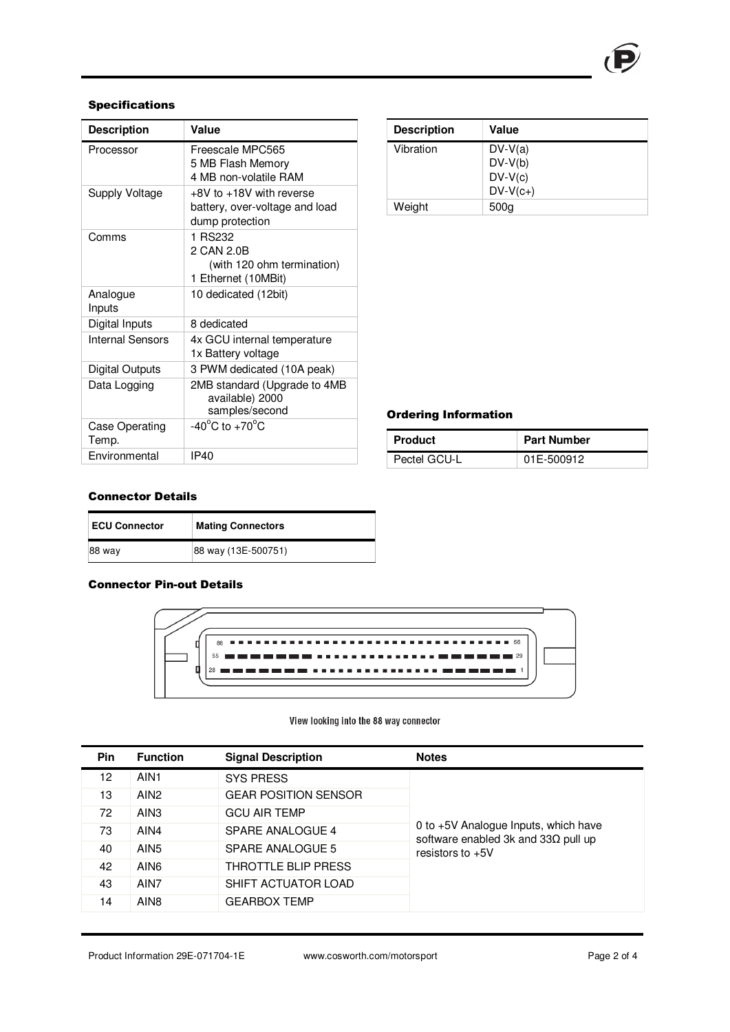# Specifications

| <b>Description</b>      | Value                                                                         |
|-------------------------|-------------------------------------------------------------------------------|
| Processor               | Freescale MPC565<br>5 MB Flash Memory<br>4 MB non-volatile RAM                |
| Supply Voltage          | +8V to +18V with reverse<br>battery, over-voltage and load<br>dump protection |
| Comms                   | 1 RS232<br>2 CAN 2.0B<br>(with 120 ohm termination)<br>1 Ethernet (10MBit)    |
| Analogue<br>Inputs      | 10 dedicated (12bit)                                                          |
| Digital Inputs          | 8 dedicated                                                                   |
| Internal Sensors        | 4x GCU internal temperature<br>1x Battery voltage                             |
| Digital Outputs         | 3 PWM dedicated (10A peak)                                                    |
| Data Logging            | 2MB standard (Upgrade to 4MB<br>available) 2000<br>samples/second             |
| Case Operating<br>Temp. | -40 $^{\circ}$ C to +70 $^{\circ}$ C                                          |
| Environmental           | IP40                                                                          |

| <b>Description</b> | Value            |
|--------------------|------------------|
| Vibration          | $DV-V(a)$        |
|                    | $DV-V(b)$        |
|                    | $DV-V(c)$        |
|                    | $DV-V(c+)$       |
| Weight             | 500 <sub>g</sub> |

# Ordering Information

| <b>Product</b> | <b>Part Number</b> |
|----------------|--------------------|
| Pectel GCU-L   | 01E-500912         |

## Connector Details

| <b>ECU Connector</b> | <b>Mating Connectors</b> |
|----------------------|--------------------------|
| 88 way               | 88 way (13E-500751)      |

# Connector Pin-out Details



### View looking into the 88 way connector

| <b>Pin</b> | <b>Function</b>  | <b>Signal Description</b>   | <b>Notes</b>                                                                        |
|------------|------------------|-----------------------------|-------------------------------------------------------------------------------------|
| 12         | AIN <sub>1</sub> | <b>SYS PRESS</b>            |                                                                                     |
| 13         | AIN <sub>2</sub> | <b>GEAR POSITION SENSOR</b> |                                                                                     |
| 72         | AIN <sub>3</sub> | <b>GCU AIR TEMP</b>         |                                                                                     |
| 73         | AIN4             | SPARE ANALOGUE 4            | 0 to +5V Analogue Inputs, which have<br>software enabled 3k and 33 $\Omega$ pull up |
| 40         | AIN <sub>5</sub> | SPARE ANALOGUE 5            | resistors to $+5V$                                                                  |
| 42         | AIN <sub>6</sub> | THROTTLE BLIP PRESS         |                                                                                     |
| 43         | AIN7             | SHIFT ACTUATOR LOAD         |                                                                                     |
| 14         | AIN <sub>8</sub> | <b>GEARBOX TEMP</b>         |                                                                                     |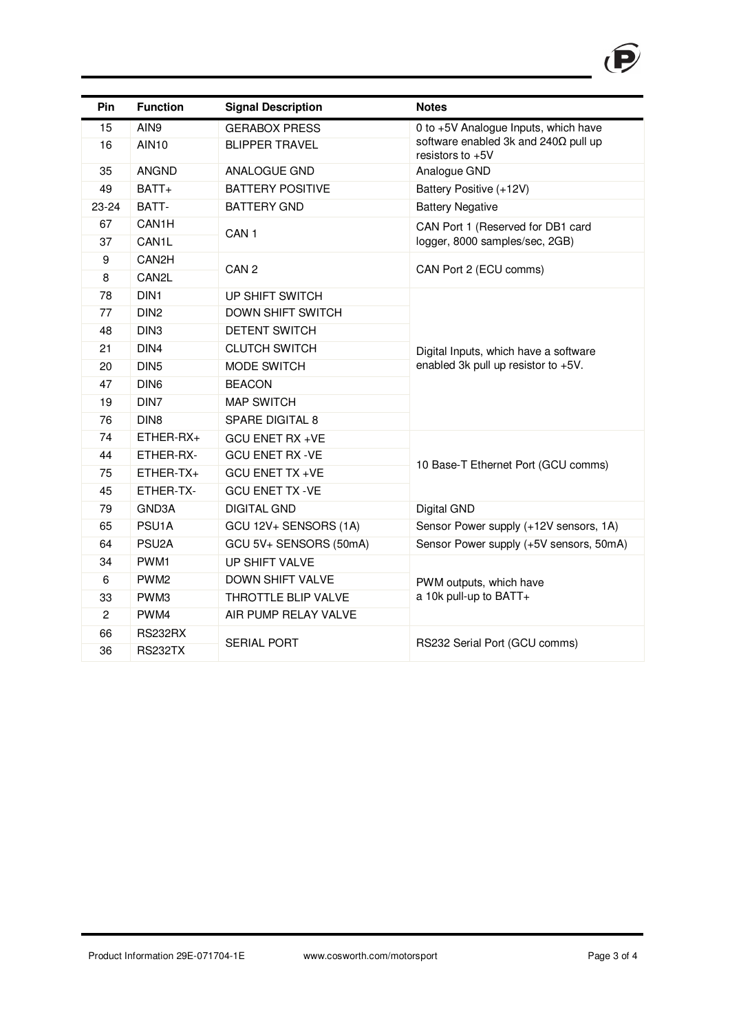

| Pin              | <b>Function</b>    | <b>Signal Description</b> | <b>Notes</b>                                                     |
|------------------|--------------------|---------------------------|------------------------------------------------------------------|
| 15               | AIN9               | <b>GERABOX PRESS</b>      | 0 to +5V Analogue Inputs, which have                             |
| 16               | <b>AIN10</b>       | <b>BLIPPER TRAVEL</b>     | software enabled 3k and 240 $\Omega$ pull up<br>resistors to +5V |
| 35               | <b>ANGND</b>       | ANALOGUE GND              | Analogue GND                                                     |
| 49               | BATT+              | <b>BATTERY POSITIVE</b>   | Battery Positive (+12V)                                          |
| 23-24            | BATT-              | <b>BATTERY GND</b>        | <b>Battery Negative</b>                                          |
| 67               | CAN1H              | CAN <sub>1</sub>          | CAN Port 1 (Reserved for DB1 card                                |
| 37               | CAN1L              |                           | logger, 8000 samples/sec, 2GB)                                   |
| $\boldsymbol{9}$ | CAN <sub>2</sub> H | CAN <sub>2</sub>          | CAN Port 2 (ECU comms)                                           |
| 8                | CAN2L              |                           |                                                                  |
| 78               | DIN <sub>1</sub>   | UP SHIFT SWITCH           |                                                                  |
| 77               | DIN <sub>2</sub>   | DOWN SHIFT SWITCH         |                                                                  |
| 48               | DIN <sub>3</sub>   | <b>DETENT SWITCH</b>      |                                                                  |
| 21               | DIN4               | <b>CLUTCH SWITCH</b>      | Digital Inputs, which have a software                            |
| 20               | DIN <sub>5</sub>   | MODE SWITCH               | enabled 3k pull up resistor to +5V.                              |
| 47               | DIN <sub>6</sub>   | <b>BEACON</b>             |                                                                  |
| 19               | DIN7               | <b>MAP SWITCH</b>         |                                                                  |
| 76               | DIN <sub>8</sub>   | SPARE DIGITAL 8           |                                                                  |
| 74               | ETHER-RX+          | <b>GCU ENET RX +VE</b>    |                                                                  |
| 44               | ETHER-RX-          | <b>GCU ENET RX -VE</b>    |                                                                  |
| 75               | ETHER-TX+          | <b>GCU ENET TX +VE</b>    | 10 Base-T Ethernet Port (GCU comms)                              |
| 45               | ETHER-TX-          | <b>GCU ENET TX -VE</b>    |                                                                  |
| 79               | GND3A              | <b>DIGITAL GND</b>        | Digital GND                                                      |
| 65               | PSU <sub>1</sub> A | GCU 12V+ SENSORS (1A)     | Sensor Power supply (+12V sensors, 1A)                           |
| 64               | PSU <sub>2</sub> A | GCU 5V+ SENSORS (50mA)    | Sensor Power supply (+5V sensors, 50mA)                          |
| 34               | PWM1               | UP SHIFT VALVE            |                                                                  |
| 6                | PWM <sub>2</sub>   | <b>DOWN SHIFT VALVE</b>   | PWM outputs, which have<br>a 10k pull-up to BATT+                |
| 33               | PWM3               | THROTTLE BLIP VALVE       |                                                                  |
| $\overline{c}$   | PWM4               | AIR PUMP RELAY VALVE      |                                                                  |
| 66               | <b>RS232RX</b>     |                           |                                                                  |
| 36               | <b>RS232TX</b>     | <b>SERIAL PORT</b>        | RS232 Serial Port (GCU comms)                                    |